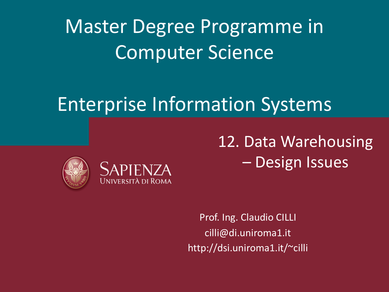Master Degree Programme in Computer Science

# Enterprise Information Systems





12. Data Warehousing – Design Issues

Prof. Ing. Claudio CILLI cilli@di.uniroma1.it http://dsi.uniroma1.it/~cilli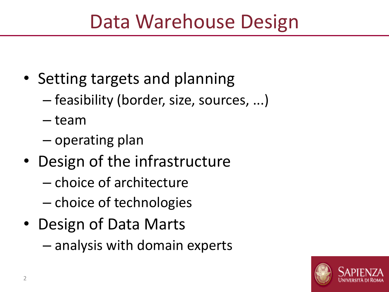# Data Warehouse Design

- Setting targets and planning
	- feasibility (border, size, sources, ...)
	- team
	- operating plan
- Design of the infrastructure
	- choice of architecture
	- choice of technologies
- Design of Data Marts
	- analysis with domain experts

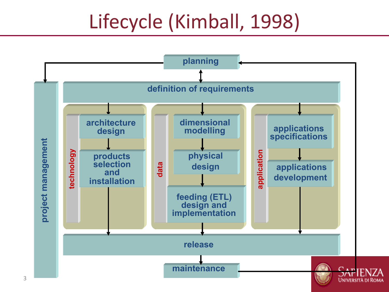# Lifecycle (Kimball, 1998)

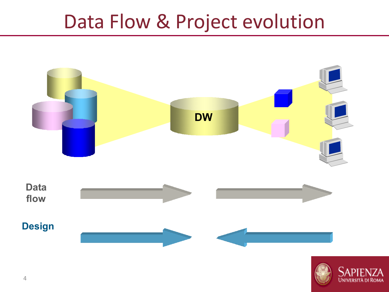# Data Flow & Project evolution



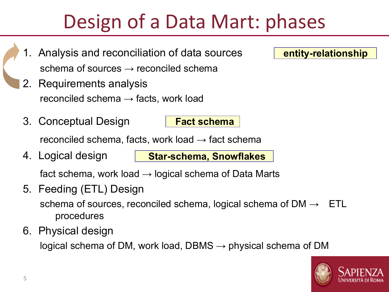# Design of a Data Mart: phases

**Fact schema**

**Star-schema, Snowflakes**

- 1. Analysis and reconciliation of data sources schema of sources  $\rightarrow$  reconciled schema
- 2. Requirements analysis reconciled schema  $\rightarrow$  facts, work load
- 3. Conceptual Design

reconciled schema, facts, work load  $\rightarrow$  fact schema

4. Logical design

fact schema, work load  $\rightarrow$  logical schema of Data Marts

- 5. Feeding (ETL) Design schema of sources, reconciled schema, logical schema of  $DM \rightarrow$  ETL procedures
- 6. Physical design

logical schema of DM, work load, DBMS  $\rightarrow$  physical schema of DM



**entity-relationship**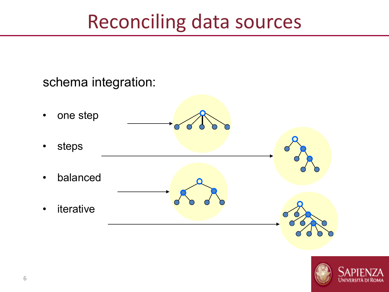# Reconciling data sources

#### schema integration:

• one step • steps • balanced • iterative

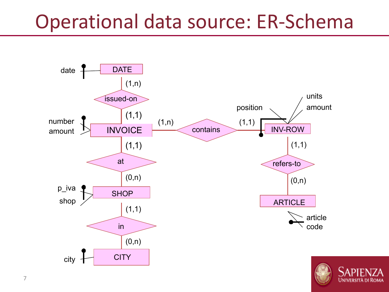# Operational data source: ER-Schema

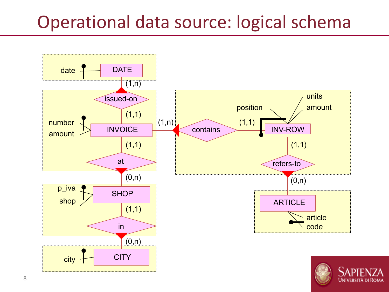## Operational data source: logical schema

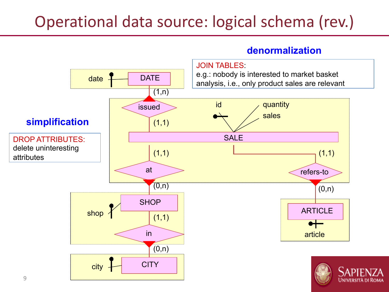### Operational data source: logical schema (rev.)

#### **denormalization**

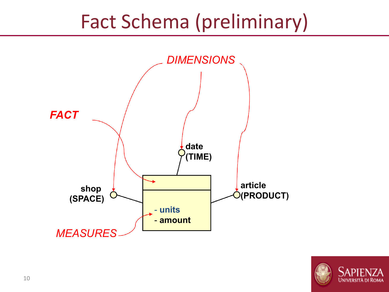# Fact Schema (preliminary)



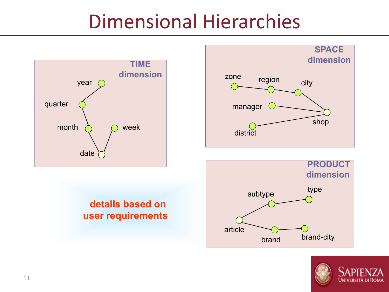# Dimensional Hierarchies



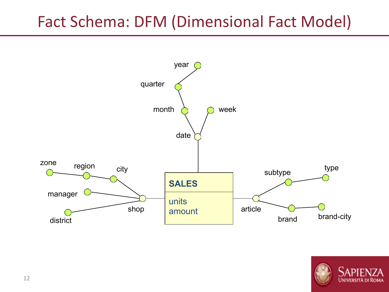### Fact Schema: DFM (Dimensional Fact Model)



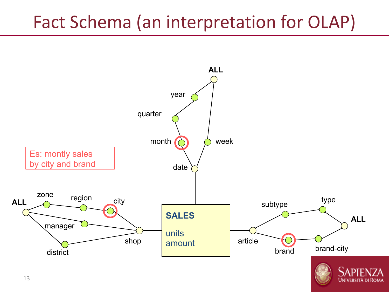# Fact Schema (an interpretation for OLAP)

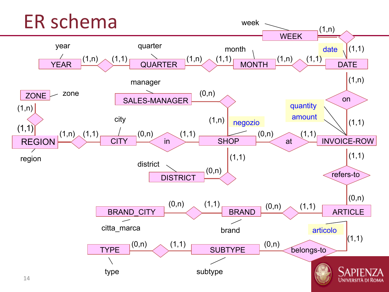#### ER schema week  $(1,n)$ WEEK quarter year date  $(1,1)$ month  $YEAR$   $(1,n)$  $(1,1)$  (1,1) (1,1) (1,1)  $(1,n)$   $(1,1)$ QUARTER MONTH DATE (1,n) manager (0,n) zone **ZONE** on SALES-MANAGER quantity  $(1,n)$ amount city  $(1,n)$  negozio (1,n)  $(1,1)$  $(1,1)$  $(1,n)$   $(1,1)$  $\frac{1}{\text{CITY}}$  (0,n) in  $(0,n)$   $(1,1)$   $(1,1)$   $(1,1)$   $(1,1)$ (0,n) REGION **SHOP** INVOICE-ROW at  $(1,1)$  $(1,1)$ region district (0,n) refers-to **DISTRICT** (0,n) (0,n)  $(1,1)$ (0,n)  $(1,1)$ ARTICLE BRAND\_CITY BRAND citta\_marca brand articolo  $(1,1)$  $\begin{tabular}{|c|c|c|c|c|} \hline (0,n) & (1,1) & & & (0,n) \\\hline \end{tabular}$ belongs-to type subtype **UNIVERSITÀ DI ROMA**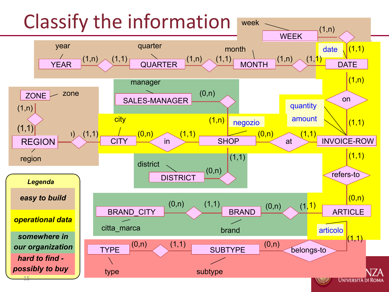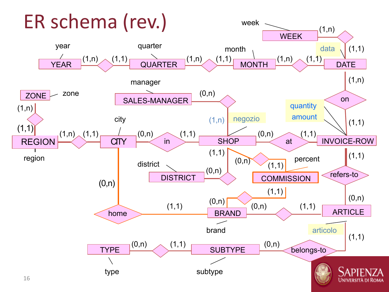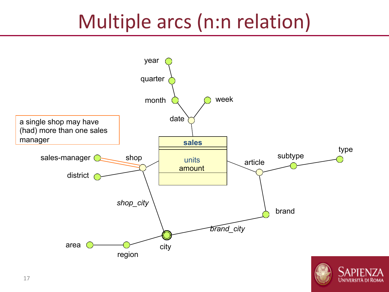# Multiple arcs (n:n relation)